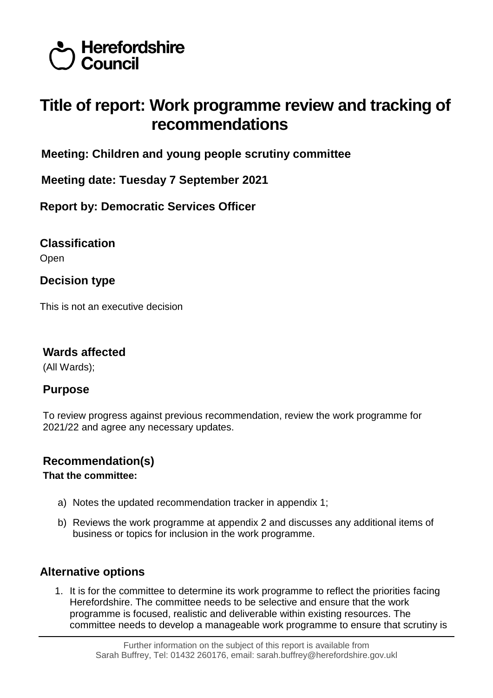

# **Title of report: Work programme review and tracking of recommendations**

**Meeting: Children and young people scrutiny committee**

**Meeting date: Tuesday 7 September 2021**

**Report by: Democratic Services Officer**

**Classification**

Open

**Decision type**

This is not an executive decision

# **Wards affected**

(All Wards);

# **Purpose**

To review progress against previous recommendation, review the work programme for 2021/22 and agree any necessary updates.

# **Recommendation(s)**

# **That the committee:**

- a) Notes the updated recommendation tracker in appendix 1;
- b) Reviews the work programme at appendix 2 and discusses any additional items of business or topics for inclusion in the work programme.

# **Alternative options**

1. It is for the committee to determine its work programme to reflect the priorities facing Herefordshire. The committee needs to be selective and ensure that the work programme is focused, realistic and deliverable within existing resources. The committee needs to develop a manageable work programme to ensure that scrutiny is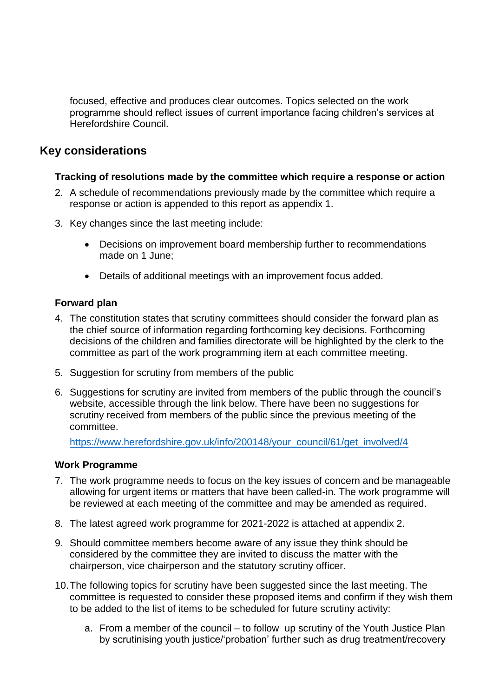focused, effective and produces clear outcomes. Topics selected on the work programme should reflect issues of current importance facing children's services at Herefordshire Council.

# **Key considerations**

#### **Tracking of resolutions made by the committee which require a response or action**

- 2. A schedule of recommendations previously made by the committee which require a response or action is appended to this report as appendix 1.
- 3. Key changes since the last meeting include:
	- Decisions on improvement board membership further to recommendations made on 1 June;
	- Details of additional meetings with an improvement focus added.

#### **Forward plan**

- 4. The constitution states that scrutiny committees should consider the forward plan as the chief source of information regarding forthcoming key decisions. Forthcoming decisions of the children and families directorate will be highlighted by the clerk to the committee as part of the work programming item at each committee meeting.
- 5. Suggestion for scrutiny from members of the public
- 6. Suggestions for scrutiny are invited from members of the public through the council's website, accessible through the link below. There have been no suggestions for scrutiny received from members of the public since the previous meeting of the committee.

[https://www.herefordshire.gov.uk/info/200148/your\\_council/61/get\\_involved/4](https://www.herefordshire.gov.uk/info/200148/your_council/61/get_involved/4)

#### **Work Programme**

- 7. The work programme needs to focus on the key issues of concern and be manageable allowing for urgent items or matters that have been called-in. The work programme will be reviewed at each meeting of the committee and may be amended as required.
- 8. The latest agreed work programme for 2021-2022 is attached at appendix 2.
- 9. Should committee members become aware of any issue they think should be considered by the committee they are invited to discuss the matter with the chairperson, vice chairperson and the statutory scrutiny officer.
- 10.The following topics for scrutiny have been suggested since the last meeting. The committee is requested to consider these proposed items and confirm if they wish them to be added to the list of items to be scheduled for future scrutiny activity:
	- a. From a member of the council to follow up scrutiny of the Youth Justice Plan by scrutinising youth justice/'probation' further such as drug treatment/recovery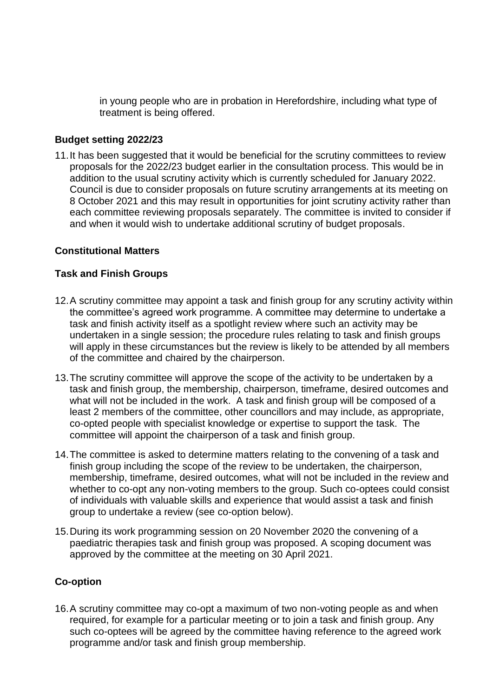in young people who are in probation in Herefordshire, including what type of treatment is being offered.

#### **Budget setting 2022/23**

11.It has been suggested that it would be beneficial for the scrutiny committees to review proposals for the 2022/23 budget earlier in the consultation process. This would be in addition to the usual scrutiny activity which is currently scheduled for January 2022. Council is due to consider proposals on future scrutiny arrangements at its meeting on 8 October 2021 and this may result in opportunities for joint scrutiny activity rather than each committee reviewing proposals separately. The committee is invited to consider if and when it would wish to undertake additional scrutiny of budget proposals.

#### **Constitutional Matters**

#### **Task and Finish Groups**

- 12.A scrutiny committee may appoint a task and finish group for any scrutiny activity within the committee's agreed work programme. A committee may determine to undertake a task and finish activity itself as a spotlight review where such an activity may be undertaken in a single session; the procedure rules relating to task and finish groups will apply in these circumstances but the review is likely to be attended by all members of the committee and chaired by the chairperson.
- 13.The scrutiny committee will approve the scope of the activity to be undertaken by a task and finish group, the membership, chairperson, timeframe, desired outcomes and what will not be included in the work. A task and finish group will be composed of a least 2 members of the committee, other councillors and may include, as appropriate, co-opted people with specialist knowledge or expertise to support the task. The committee will appoint the chairperson of a task and finish group.
- 14.The committee is asked to determine matters relating to the convening of a task and finish group including the scope of the review to be undertaken, the chairperson, membership, timeframe, desired outcomes, what will not be included in the review and whether to co-opt any non-voting members to the group. Such co-optees could consist of individuals with valuable skills and experience that would assist a task and finish group to undertake a review (see co-option below).
- 15.During its work programming session on 20 November 2020 the convening of a paediatric therapies task and finish group was proposed. A scoping document was approved by the committee at the meeting on 30 April 2021.

#### **Co-option**

16.A scrutiny committee may co-opt a maximum of two non-voting people as and when required, for example for a particular meeting or to join a task and finish group. Any such co-optees will be agreed by the committee having reference to the agreed work programme and/or task and finish group membership.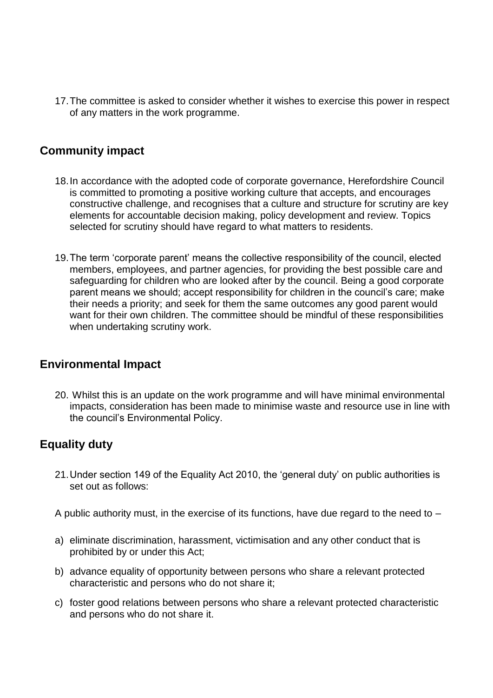17.The committee is asked to consider whether it wishes to exercise this power in respect of any matters in the work programme.

# **Community impact**

- 18.In accordance with the adopted code of corporate governance, Herefordshire Council is committed to promoting a positive working culture that accepts, and encourages constructive challenge, and recognises that a culture and structure for scrutiny are key elements for accountable decision making, policy development and review. Topics selected for scrutiny should have regard to what matters to residents.
- 19.The term 'corporate parent' means the collective responsibility of the council, elected members, employees, and partner agencies, for providing the best possible care and safeguarding for children who are looked after by the council. Being a good corporate parent means we should; accept responsibility for children in the council's care; make their needs a priority; and seek for them the same outcomes any good parent would want for their own children. The committee should be mindful of these responsibilities when undertaking scrutiny work.

# **Environmental Impact**

20. Whilst this is an update on the work programme and will have minimal environmental impacts, consideration has been made to minimise waste and resource use in line with the council's Environmental Policy.

# **Equality duty**

21.Under section 149 of the Equality Act 2010, the 'general duty' on public authorities is set out as follows:

A public authority must, in the exercise of its functions, have due regard to the need to  $-$ 

- a) eliminate discrimination, harassment, victimisation and any other conduct that is prohibited by or under this Act;
- b) advance equality of opportunity between persons who share a relevant protected characteristic and persons who do not share it;
- c) foster good relations between persons who share a relevant protected characteristic and persons who do not share it.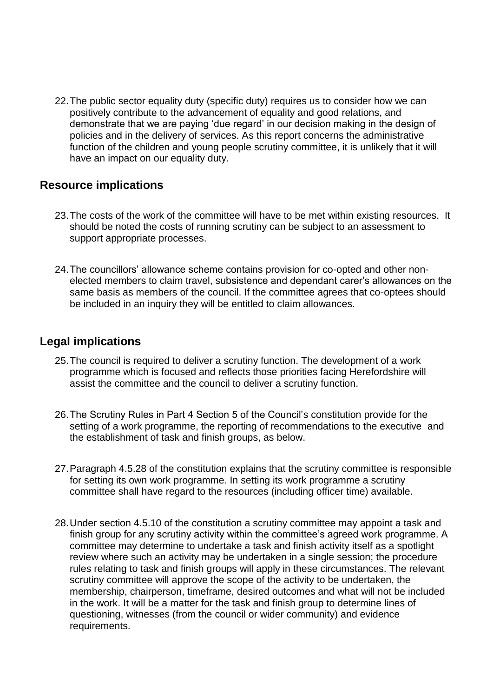22.The public sector equality duty (specific duty) requires us to consider how we can positively contribute to the advancement of equality and good relations, and demonstrate that we are paying 'due regard' in our decision making in the design of policies and in the delivery of services. As this report concerns the administrative function of the children and young people scrutiny committee, it is unlikely that it will have an impact on our equality duty.

# **Resource implications**

- 23.The costs of the work of the committee will have to be met within existing resources. It should be noted the costs of running scrutiny can be subject to an assessment to support appropriate processes.
- 24.The councillors' allowance scheme contains provision for co-opted and other nonelected members to claim travel, subsistence and dependant carer's allowances on the same basis as members of the council. If the committee agrees that co-optees should be included in an inquiry they will be entitled to claim allowances.

# **Legal implications**

- 25.The council is required to deliver a scrutiny function. The development of a work programme which is focused and reflects those priorities facing Herefordshire will assist the committee and the council to deliver a scrutiny function.
- 26.The Scrutiny Rules in Part 4 Section 5 of the Council's constitution provide for the setting of a work programme, the reporting of recommendations to the executive and the establishment of task and finish groups, as below.
- 27.Paragraph 4.5.28 of the constitution explains that the scrutiny committee is responsible for setting its own work programme. In setting its work programme a scrutiny committee shall have regard to the resources (including officer time) available.
- 28.Under section 4.5.10 of the constitution a scrutiny committee may appoint a task and finish group for any scrutiny activity within the committee's agreed work programme. A committee may determine to undertake a task and finish activity itself as a spotlight review where such an activity may be undertaken in a single session; the procedure rules relating to task and finish groups will apply in these circumstances. The relevant scrutiny committee will approve the scope of the activity to be undertaken, the membership, chairperson, timeframe, desired outcomes and what will not be included in the work. It will be a matter for the task and finish group to determine lines of questioning, witnesses (from the council or wider community) and evidence requirements.